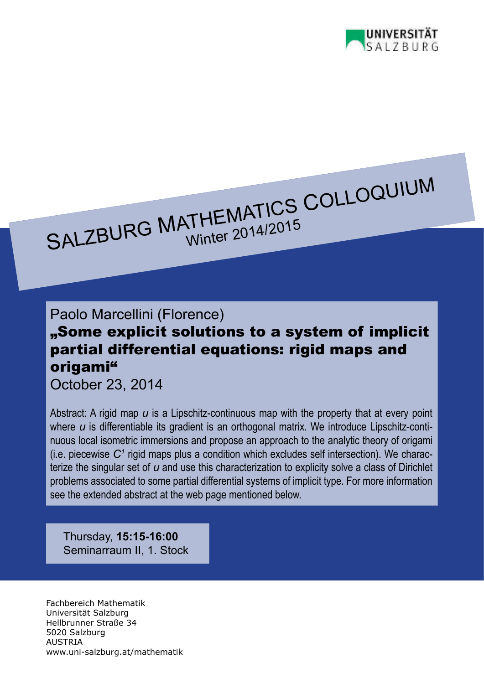

## SALZBURG MATHEMATICS COLLOQUIUM

## Paolo Marcellini (Florence)

## "Some explicit solutions to a system of implicit partial differential equations: rigid maps and origami"

October 23, 2014

Abstract: A rigid map *u* is a Lipschitz-continuous map with the property that at every point where *u* is differentiable its gradient is an orthogonal matrix. We introduce Lipschitz-continuous local isometric immersions and propose an approach to the analytic theory of origami (i.e. piecewise  $C<sup>1</sup>$  rigid maps plus a condition which excludes self intersection). We characterize the singular set of *u* and use this characterization to explicity solve a class of Dirichlet problems associated to some partial differential systems of implicit type. For more information see the extended abstract at the web page mentioned below.

Thursday, **15:15-16:00** Seminarraum II, 1. Stock

Fachbereich Mathematik Universität Salzburg Hellbrunner Straße 34 5020 Salzburg AUSTRIA www.uni-salzburg.at/mathematik